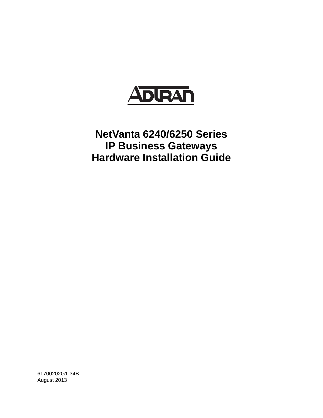

# **NetVanta 6240/6250 Series IP Business Gateways Hardware Installation Guide**

61700202G1-34B August 2013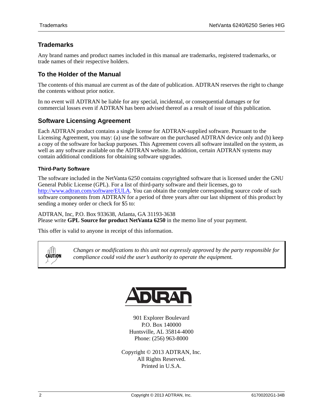## **Trademarks**

Any brand names and product names included in this manual are trademarks, registered trademarks, or trade names of their respective holders.

## **To the Holder of the Manual**

The contents of this manual are current as of the date of publication. ADTRAN reserves the right to change the contents without prior notice.

In no event will ADTRAN be liable for any special, incidental, or consequential damages or for commercial losses even if ADTRAN has been advised thereof as a result of issue of this publication.

## **Software Licensing Agreement**

Each ADTRAN product contains a single license for ADTRAN-supplied software. Pursuant to the Licensing Agreement, you may: (a) use the software on the purchased ADTRAN device only and (b) keep a copy of the software for backup purposes. This Agreement covers all software installed on the system, as well as any software available on the ADTRAN website. In addition, certain ADTRAN systems may contain additional conditions for obtaining software upgrades.

#### **Third-Party Software**

The software included in the NetVanta 6250 contains copyrighted software that is licensed under the GNU General Public License (GPL). For a list of third-party software and their licenses, go to http://www.adtran.com/software/EULA. You can obtain the complete corresponding source code of such software components from ADTRAN for a period of three years after our last shipment of this product by sending a money order or check for \$5 to:

ADTRAN, Inc, P.O. Box 933638, Atlanta, GA 31193-3638 Please write **GPL Source for product NetVanta 6250** in the memo line of your payment.

This offer is valid to anyone in receipt of this information.

CAUTION

*Changes or modifications to this unit not expressly approved by the party responsible for compliance could void the user's authority to operate the equipment.*



901 Explorer Boulevard P.O. Box 140000 Huntsville, AL 35814-4000 Phone: (256) 963-8000

Copyright © 2013 ADTRAN, Inc. All Rights Reserved. Printed in U.S.A.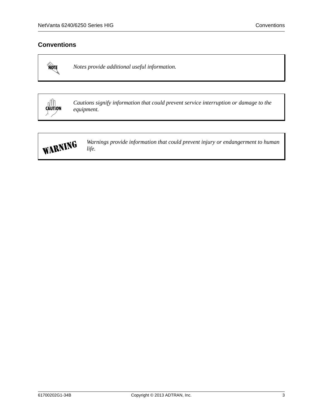## **Conventions**

MOTE

*Notes provide additional useful information.*

CAUTION

*Cautions signify information that could prevent service interruption or damage to the equipment.*



*Warnings provide information that could prevent injury or endangerment to human life.*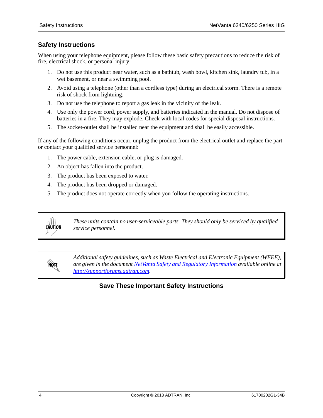## **Safety Instructions**

When using your telephone equipment, please follow these basic safety precautions to reduce the risk of fire, electrical shock, or personal injury:

- 1. Do not use this product near water, such as a bathtub, wash bowl, kitchen sink, laundry tub, in a wet basement, or near a swimming pool.
- 2. Avoid using a telephone (other than a cordless type) during an electrical storm. There is a remote risk of shock from lightning.
- 3. Do not use the telephone to report a gas leak in the vicinity of the leak.
- 4. Use only the power cord, power supply, and batteries indicated in the manual. Do not dispose of batteries in a fire. They may explode. Check with local codes for special disposal instructions.
- 5. The socket-outlet shall be installed near the equipment and shall be easily accessible.

If any of the following conditions occur, unplug the product from the electrical outlet and replace the part or contact your qualified service personnel:

- 1. The power cable, extension cable, or plug is damaged.
- 2. An object has fallen into the product.
- 3. The product has been exposed to water.
- 4. The product has been dropped or damaged.
- 5. The product does not operate correctly when you follow the operating instructions.



**AQIE** 

*These units contain no user-serviceable parts. They should only be serviced by qualified service personnel.*

*Additional safety guidelines, such as Waste Electrical and Electronic Equipment (WEEE), are given in the document [NetVanta Safety and Regulatory Information](https://supportforums.adtran.com/docs/DOC-2300) available online at [http://supportforums.adtran.com](https://supportforums.adtran.com/welcome).*

## **Save These Important Safety Instructions**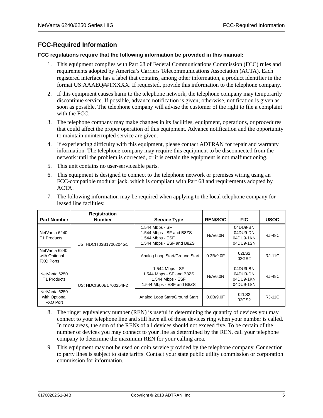## **FCC-Required Information**

#### **FCC regulations require that the following information be provided in this manual:**

- 1. This equipment complies with Part 68 of Federal Communications Commission (FCC) rules and requirements adopted by America's Carriers Telecommunications Association (ACTA). Each registered interface has a label that contains, among other information, a product identifier in the format US:AAAEQ##TXXXX. If requested, provide this information to the telephone company.
- 2. If this equipment causes harm to the telephone network, the telephone company may temporarily discontinue service. If possible, advance notification is given; otherwise, notification is given as soon as possible. The telephone company will advise the customer of the right to file a complaint with the FCC.
- 3. The telephone company may make changes in its facilities, equipment, operations, or procedures that could affect the proper operation of this equipment. Advance notification and the opportunity to maintain uninterrupted service are given.
- 4. If experiencing difficulty with this equipment, please contact ADTRAN for repair and warranty information. The telephone company may require this equipment to be disconnected from the network until the problem is corrected, or it is certain the equipment is not malfunctioning.
- 5. This unit contains no user-serviceable parts.
- 6. This equipment is designed to connect to the telephone network or premises wiring using an FCC-compatible modular jack, which is compliant with Part 68 and requirements adopted by ACTA.

| <b>Part Number</b>                                 | <b>Registration</b><br><b>Number</b> | <b>Service Type</b>                                                                          | <b>REN/SOC</b> | <b>FIC</b>                                     | <b>USOC</b>   |
|----------------------------------------------------|--------------------------------------|----------------------------------------------------------------------------------------------|----------------|------------------------------------------------|---------------|
| NetVanta 6240<br>T1 Products                       | US: HDCIT03B1700204G1                | 1.544 Mbps - SF<br>1.544 Mbps - SF and B8ZS<br>1.544 Mbps - ESF<br>1.544 Mbps - ESF and B8ZS | N/A/6.0N       | 04DU9-BN<br>04DU9-DN<br>04DU9-1KN<br>04DU9-1SN | <b>RJ-48C</b> |
| NetVanta 6240<br>with Optional<br><b>FXO Ports</b> |                                      | Analog Loop Start/Ground Start                                                               | 0.3B/9.0F      | 02LS2<br>02GS2                                 | <b>RJ-11C</b> |
| NetVanta 6250<br>T1 Products                       | US: HDCIS00B1700254F2                | 1.544 Mbps - SF<br>1.544 Mbps - SF and B8ZS<br>1.544 Mbps - ESF<br>1.544 Mbps - ESF and B8ZS | N/A/6.0N       | 04DU9-BN<br>04DU9-DN<br>04DU9-1KN<br>04DU9-1SN | <b>RJ-48C</b> |
| NetVanta 6250<br>with Optional<br><b>FXO Port</b>  |                                      | Analog Loop Start/Ground Start                                                               | 0.0B/9.0F      | 02LS2<br>02GS2                                 | <b>RJ-11C</b> |

7. The following information may be required when applying to the local telephone company for leased line facilities:

- 8. The ringer equivalency number (REN) is useful in determining the quantity of devices you may connect to your telephone line and still have all of those devices ring when your number is called. In most areas, the sum of the RENs of all devices should not exceed five. To be certain of the number of devices you may connect to your line as determined by the REN, call your telephone company to determine the maximum REN for your calling area.
- 9. This equipment may not be used on coin service provided by the telephone company. Connection to party lines is subject to state tariffs. Contact your state public utility commission or corporation commission for information.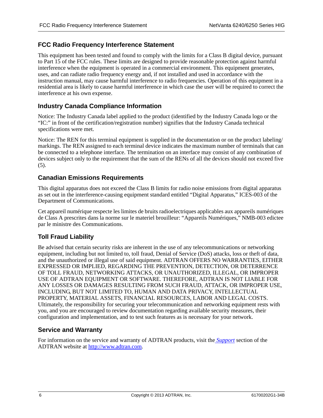## **FCC Radio Frequency Interference Statement**

This equipment has been tested and found to comply with the limits for a Class B digital device, pursuant to Part 15 of the FCC rules. These limits are designed to provide reasonable protection against harmful interference when the equipment is operated in a commercial environment. This equipment generates, uses, and can radiate radio frequency energy and, if not installed and used in accordance with the instruction manual, may cause harmful interference to radio frequencies. Operation of this equipment in a residential area is likely to cause harmful interference in which case the user will be required to correct the interference at his own expense.

#### **Industry Canada Compliance Information**

Notice: The Industry Canada label applied to the product (identified by the Industry Canada logo or the "IC:" in front of the certification/registration number) signifies that the Industry Canada technical specifications were met.

Notice: The REN for this terminal equipment is supplied in the documentation or on the product labeling/ markings. The REN assigned to each terminal device indicates the maximum number of terminals that can be connected to a telephone interface. The termination on an interface may consist of any combination of devices subject only to the requirement that the sum of the RENs of all the devices should not exceed five (5).

#### **Canadian Emissions Requirements**

This digital apparatus does not exceed the Class B limits for radio noise emissions from digital apparatus as set out in the interference-causing equipment standard entitled "Digital Apparatus," ICES-003 of the Department of Communications.

Cet appareil numérique respecte les limites de bruits radioelectriques applicables aux appareils numériques de Class A prescrites dans la norme sur le materiel brouilleur: "Appareils Numériques," NMB-003 edictee par le ministre des Communications.

#### **Toll Fraud Liability**

Be advised that certain security risks are inherent in the use of any telecommunications or networking equipment, including but not limited to, toll fraud, Denial of Service (DoS) attacks, loss or theft of data, and the unauthorized or illegal use of said equipment. ADTRAN OFFERS NO WARRANTIES, EITHER EXPRESSED OR IMPLIED, REGARDING THE PREVENTION, DETECTION, OR DETERRENCE OF TOLL FRAUD, NETWORKING ATTACKS, OR UNAUTHORIZED, ILLEGAL, OR IMPROPER USE OF ADTRAN EQUIPMENT OR SOFTWARE. THEREFORE, ADTRAN IS NOT LIABLE FOR ANY LOSSES OR DAMAGES RESULTING FROM SUCH FRAUD, ATTACK, OR IMPROPER USE, INCLUDING, BUT NOT LIMITED TO, HUMAN AND DATA PRIVACY, INTELLECTUAL PROPERTY, MATERIAL ASSETS, FINANCIAL RESOURCES, LABOR AND LEGAL COSTS. Ultimately, the responsibility for securing your telecommunication and networking equipment rests with you, and you are encouraged to review documentation regarding available security measures, their configuration and implementation, and to test such features as is necessary for your network.

#### **Service and Warranty**

For information on the service and warranty of ADTRAN products, visit the *[Support](http://www.adtran.com/web/page/portal/Adtran/wp_support_landing)* section of the ADTRAN website at [http://www.adtran.com.](http:www.adtran.com)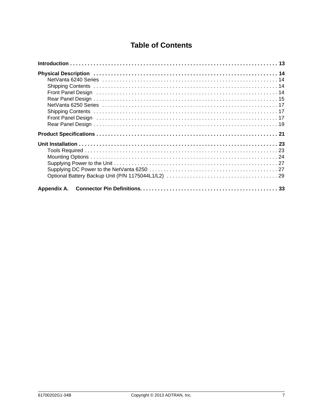## **Table of Contents**

| Physical Description (1990) 14 (2008) 24 (2008) 24 (2008) 24 (2008) 25 (2008) 25 (2008) 26 (2008) 26 (2008) 26                                                                                                                 |
|--------------------------------------------------------------------------------------------------------------------------------------------------------------------------------------------------------------------------------|
|                                                                                                                                                                                                                                |
|                                                                                                                                                                                                                                |
| Front Panel Design (all contains and the contained and the contact of the contact of the contact of the contact of the contact of the contact of the contact of the contact of the contact of the contact of the contact of th |
|                                                                                                                                                                                                                                |
|                                                                                                                                                                                                                                |
|                                                                                                                                                                                                                                |
| Front Panel Design (and according to the control of the control of the control of the control of the control of the control of the control of the control of the control of the control of the control of the control of the c |
|                                                                                                                                                                                                                                |
|                                                                                                                                                                                                                                |
|                                                                                                                                                                                                                                |
|                                                                                                                                                                                                                                |
|                                                                                                                                                                                                                                |
|                                                                                                                                                                                                                                |
|                                                                                                                                                                                                                                |
|                                                                                                                                                                                                                                |
|                                                                                                                                                                                                                                |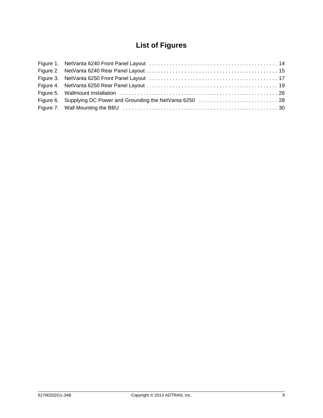## **List of Figures**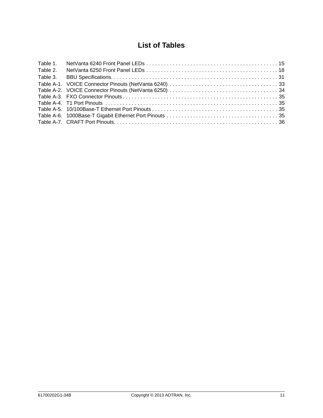## **List of Tables**

| Table 1. |  |
|----------|--|
| Table 2. |  |
| Table 3. |  |
|          |  |
|          |  |
|          |  |
|          |  |
|          |  |
|          |  |
|          |  |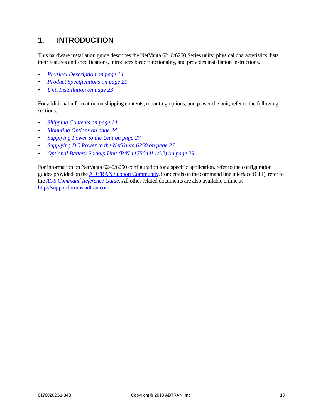## <span id="page-12-0"></span>**1. INTRODUCTION**

This hardware installation guide describes the NetVanta 6240/6250 Series units' physical characteristics, lists their features and specifications, introduces basic functionality, and provides installation instructions.

- *[Physical Description on page 14](#page-13-0)*
- *[Product Specifications on page 21](#page-20-0)*
- *[Unit Installation on page 23](#page-22-0)*

For additional information on shipping contents, mounting options, and power the unit, refer to the following sections:

- *[Shipping Contents on page 14](#page-13-2)*
- *[Mounting Options on page 24](#page-23-0)*
- *[Supplying Power to the Unit on page 27](#page-26-0)*
- *[Supplying DC Power to the NetVanta 6250 on page 27](#page-26-1)*
- *[Optional Battery Backup Unit \(P/N 1175044L1/L2\) on page 29](#page-28-0)*

For information on NetVanta 6240/6250 configuration for a specific application, refer to the configuration guides provided on [the A](https://supportforums.adtran.com)DTRAN Support Community. For details on the command line interface (CLI), refer to the *AOS Command Reference Guide*. All other related documents are also available onl[ine at](https://supportforums.adtran.com)  http://supportforums.adtran.com.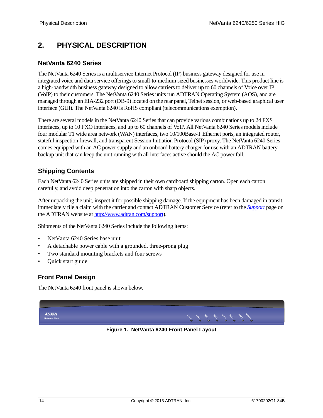## <span id="page-13-0"></span>**2. PHYSICAL DESCRIPTION**

### <span id="page-13-1"></span>**NetVanta 6240 Series**

The NetVanta 6240 Series is a multiservice Internet Protocol (IP) business gateway designed for use in integrated voice and data service offerings to small-to-medium sized businesses worldwide. This product line is a high-bandwidth business gateway designed to allow carriers to deliver up to 60 channels of Voice over IP (VoIP) to their customers. The NetVanta 6240 Series units run ADTRAN Operating System (AOS), and are managed through an EIA-232 port (DB-9) located on the rear panel, Telnet session, or web-based graphical user interface (GUI). The NetVanta 6240 is RoHS compliant (telecommunications exemption).

There are several models in the NetVanta 6240 Series that can provide various combinations up to 24 FXS interfaces, up to 10 FXO interfaces, and up to 60 channels of VoIP. All NetVanta 6240 Series models include four modular T1 wide area network (WAN) interfaces, two 10/100Base-T Ethernet ports, an integrated router, stateful inspection firewall, and transparent Session Initiation Protocol (SIP) proxy. The NetVanta 6240 Series comes equipped with an AC power supply and an onboard battery charger for use with an ADTRAN battery backup unit that can keep the unit running with all interfaces active should the AC power fail.

## <span id="page-13-2"></span>**Shipping Contents**

Each NetVanta 6240 Series units are shipped in their own cardboard shipping carton. Open each carton carefully, and avoid deep penetration into the carton with sharp objects.

After unpacking the unit, inspect it for possible shipping damage. If the equipment has been damaged in transit, immediately file a claim with the carrier and contact ADTRAN Customer Service (refer to the *Support* [page on](http://www.adtran.com/web/url/support )  [the ADTRAN website at h](http://www.adtran.com/web/url/support )ttp://www.adtran.com/support).

Shipments of the NetVanta 6240 Series include the following items:

- NetVanta 6240 Series base unit
- A detachable power cable with a grounded, three-prong plug
- Two standard mounting brackets and four screws
- Quick start guide

## <span id="page-13-3"></span>**Front Panel Design**

The NetVanta 6240 front panel is shown below.

<span id="page-13-4"></span>

**Figure 1. NetVanta 6240 Front Panel Layout**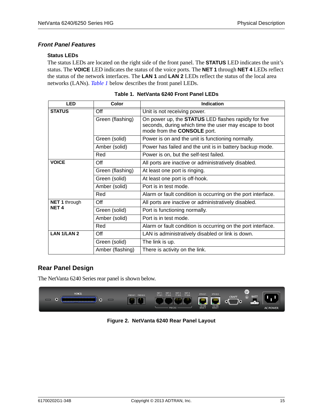### *Front Panel Features*

#### **Status LEDs**

The status LEDs are located on the right side of the front panel. The **STATUS** LED indicates the unit's status. The **VOICE** LED indicates the status of the voice ports. The **NET 1** through **NET 4** LEDs reflect the status of the network interfaces. The **LAN 1** and **LAN 2** LEDs reflect the status of the local area networks (LANs). *[Table 1](#page-14-2)* below describes the front panel LEDs.

<span id="page-14-2"></span>

| <b>LED</b>           | Color            | <b>Indication</b>                                                                                                                                    |
|----------------------|------------------|------------------------------------------------------------------------------------------------------------------------------------------------------|
| <b>STATUS</b>        | Off              | Unit is not receiving power.                                                                                                                         |
|                      | Green (flashing) | On power up, the <b>STATUS</b> LED flashes rapidly for five<br>seconds, during which time the user may escape to boot<br>mode from the CONSOLE port. |
|                      | Green (solid)    | Power is on and the unit is functioning normally.                                                                                                    |
|                      | Amber (solid)    | Power has failed and the unit is in battery backup mode.                                                                                             |
|                      | Red              | Power is on, but the self-test failed.                                                                                                               |
| <b>VOICE</b>         | Off              | All ports are inactive or administratively disabled.                                                                                                 |
|                      | Green (flashing) | At least one port is ringing.                                                                                                                        |
|                      | Green (solid)    | At least one port is off-hook.                                                                                                                       |
|                      | Amber (solid)    | Port is in test mode.                                                                                                                                |
|                      | Red              | Alarm or fault condition is occurring on the port interface.                                                                                         |
| <b>NET 1 through</b> | Off              | All ports are inactive or administratively disabled.                                                                                                 |
| <b>NET4</b>          | Green (solid)    | Port is functioning normally.                                                                                                                        |
|                      | Amber (solid)    | Port is in test mode.                                                                                                                                |
|                      | Red              | Alarm or fault condition is occurring on the port interface.                                                                                         |
| <b>LAN 1/LAN 2</b>   | Off              | LAN is administratively disabled or link is down.                                                                                                    |
|                      | Green (solid)    | The link is up.                                                                                                                                      |
|                      | Amber (flashing) | There is activity on the link.                                                                                                                       |

|  |  |  | Table 1.NetVanta 6240 Front Panel LEDs |
|--|--|--|----------------------------------------|
|--|--|--|----------------------------------------|

## <span id="page-14-0"></span>**Rear Panel Design**

The NetVanta 6240 Series rear panel is shown below.

<span id="page-14-1"></span>

**Figure 2. NetVanta 6240 Rear Panel Layout**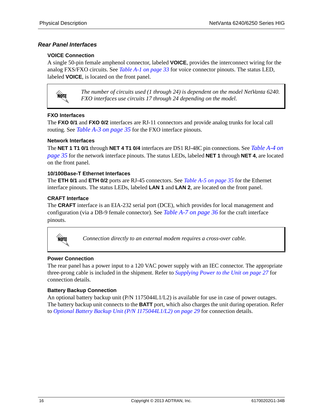#### *Rear Panel Interfaces*

#### **VOICE Connection**

A single 50-pin female amphenol connector, labeled **VOICE**, provides the interconnect wiring for the analog FXS/FXO circuits. See *[Table A-1 on page 33](#page-32-2)* for voice connector pinouts. The status LED, labeled **VOICE**, is located on the front panel.



*The number of circuits used (1 through 24) is dependent on the model NetVanta 6240. FXO interfaces use circuits 17 through 24 depending on the model.* 

#### **FXO Interfaces**

The **FXO 0/1** and **FXO 0/2** interfaces are RJ-11 connectors and provide analog trunks for local call routing. See *[Table A-3 on page 35](#page-34-4)* for the FXO interface pinouts.

#### **Network Interfaces**

The **NET 1 T1 0/1** through **NET 4 T1 0/4** interfaces are DS1 RJ-48C pin connections. See *[Table A-4 on](#page-34-5)  [page 35](#page-34-5)* for the network interface pinouts. The status LEDs, labeled **NET 1** through **NET 4**, are located on the front panel.

#### **10/100Base-T Ethernet Interfaces**

The **ETH 0/1** and **ETH 0/2** ports are RJ-45 connectors. See *[Table A-5 on page 35](#page-34-6)* for the Ethernet interface pinouts. The status LEDs, labeled **LAN 1** and **LAN 2**, are located on the front panel.

#### **CRAFT Interface**

The **CRAFT** interface is an EIA-232 serial port (DCE), which provides for local management and configuration (via a DB-9 female connector). See *[Table A-7 on page 36](#page-35-1)* for the craft interface pinouts.



*Connection directly to an external modem requires a cross-over cable.*

#### **Power Connection**

The rear panel has a power input to a 120 VAC power supply with an IEC connector. The appropriate three-prong cable is included in the shipment. Refer to *[Supplying Power to the Unit on page 27](#page-26-0)* for connection details.

#### **Battery Backup Connection**

An optional battery backup unit  $(P/N \ 1175044L1/L2)$  is available for use in case of power outages. The battery backup unit connects to the **BATT** port, which also charges the unit during operation. Refer to *[Optional Battery Backup Unit \(P/N 1175044L1/L2\) on page 29](#page-28-0)* for connection details.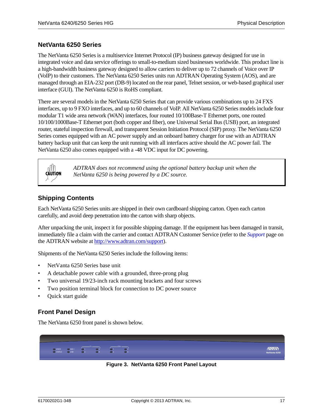### <span id="page-16-0"></span>**NetVanta 6250 Series**

The NetVanta 6250 Series is a multiservice Internet Protocol (IP) business gateway designed for use in integrated voice and data service offerings to small-to-medium sized businesses worldwide. This product line is a high-bandwidth business gateway designed to allow carriers to deliver up to 72 channels of Voice over IP (VoIP) to their customers. The NetVanta 6250 Series units run ADTRAN Operating System (AOS), and are managed through an EIA-232 port (DB-9) located on the rear panel, Telnet session, or web-based graphical user interface (GUI). The NetVanta 6250 is RoHS compliant.

There are several models in the NetVanta 6250 Series that can provide various combinations up to 24 FXS interfaces, up to 9 FXO interfaces, and up to 60 channels of VoIP. All NetVanta 6250 Series models include four modular T1 wide area network (WAN) interfaces, four routed 10/100Base-T Ethernet ports, one routed 10/100/1000Base-T Ethernet port (both copper and fiber), one Universal Serial Bus (USB) port, an integrated router, stateful inspection firewall, and transparent Session Initiation Protocol (SIP) proxy. The NetVanta 6250 Series comes equipped with an AC power supply and an onboard battery charger for use with an ADTRAN battery backup unit that can keep the unit running with all interfaces active should the AC power fail. The NetVanta 6250 also comes equipped with a -48 VDC input for DC powering.



*ADTRAN does not recommend using the optional battery backup unit when the NetVanta 6250 is being powered by a DC source.*

### <span id="page-16-1"></span>**Shipping Contents**

Each NetVanta 6250 Series units are shipped in their own cardboard shipping carton. Open each carton carefully, and avoid deep penetration into the carton with sharp objects.

After unpacking the unit, inspect it for possible shipping damage. If the equipment has been damaged in transit, immediately file a claim with the carrier and contact ADTRAN Customer Service (refer to the *Support* [page on](http://www.adtran.com/web/url/support )  [the ADTRAN website at h](http://www.adtran.com/web/url/support )ttp://www.adtran.com/support).

Shipments of the NetVanta 6250 Series include the following items:

- NetVanta 6250 Series base unit
- A detachable power cable with a grounded, three-prong plug
- Two universal 19/23-inch rack mounting brackets and four screws
- Two position terminal block for connection to DC power source
- Quick start guide

#### <span id="page-16-2"></span>**Front Panel Design**

The NetVanta 6250 front panel is shown below.

<span id="page-16-3"></span>

**Figure 3. NetVanta 6250 Front Panel Layout**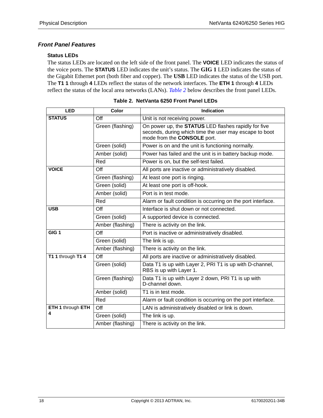### *Front Panel Features*

### **Status LEDs**

The status LEDs are located on the left side of the front panel. The **VOICE** LED indicates the status of the voice ports. The **STATUS** LED indicates the unit's status. The **GIG 1** LED indicates the status of the Gigabit Ethernet port (both fiber and copper). The **USB** LED indicates the status of the USB port. The **T1 1** through **4** LEDs reflect the status of the network interfaces. The **ETH 1** through **4** LEDs reflect the status of the local area networks (LANs). *[Table 2](#page-17-0)* below describes the front panel LEDs.

<span id="page-17-0"></span>

| <b>LED</b>        | Color            | <b>Indication</b>                                                                                                                                    |
|-------------------|------------------|------------------------------------------------------------------------------------------------------------------------------------------------------|
| <b>STATUS</b>     | Off              | Unit is not receiving power.                                                                                                                         |
|                   | Green (flashing) | On power up, the <b>STATUS</b> LED flashes rapidly for five<br>seconds, during which time the user may escape to boot<br>mode from the CONSOLE port. |
|                   | Green (solid)    | Power is on and the unit is functioning normally.                                                                                                    |
|                   | Amber (solid)    | Power has failed and the unit is in battery backup mode.                                                                                             |
|                   | Red              | Power is on, but the self-test failed.                                                                                                               |
| <b>VOICE</b>      | Off              | All ports are inactive or administratively disabled.                                                                                                 |
|                   | Green (flashing) | At least one port is ringing.                                                                                                                        |
|                   | Green (solid)    | At least one port is off-hook.                                                                                                                       |
|                   | Amber (solid)    | Port is in test mode.                                                                                                                                |
|                   | Red              | Alarm or fault condition is occurring on the port interface.                                                                                         |
| <b>USB</b>        | Off              | Interface is shut down or not connected.                                                                                                             |
|                   | Green (solid)    | A supported device is connected.                                                                                                                     |
|                   | Amber (flashing) | There is activity on the link.                                                                                                                       |
| GIG <sub>1</sub>  | Off              | Port is inactive or administratively disabled.                                                                                                       |
|                   | Green (solid)    | The link is up.                                                                                                                                      |
|                   | Amber (flashing) | There is activity on the link.                                                                                                                       |
| T1 1 through T1 4 | Off              | All ports are inactive or administratively disabled.                                                                                                 |
|                   | Green (solid)    | Data T1 is up with Layer 2, PRI T1 is up with D-channel,<br>RBS is up with Layer 1.                                                                  |
|                   | Green (flashing) | Data T1 is up with Layer 2 down, PRI T1 is up with<br>D-channel down.                                                                                |
|                   | Amber (solid)    | T1 is in test mode.                                                                                                                                  |
|                   | Red              | Alarm or fault condition is occurring on the port interface.                                                                                         |
| ETH 1 through ETH | Off              | LAN is administratively disabled or link is down.                                                                                                    |
| 4                 | Green (solid)    | The link is up.                                                                                                                                      |
|                   | Amber (flashing) | There is activity on the link.                                                                                                                       |

| Table 2. NetVanta 6250 Front Panel LEDs |  |  |
|-----------------------------------------|--|--|
|                                         |  |  |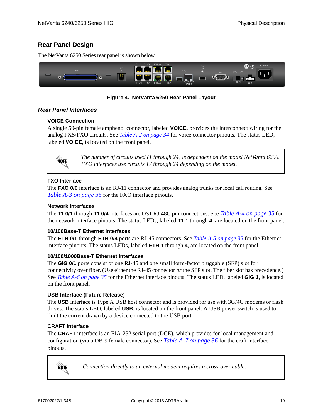## <span id="page-18-0"></span>**Rear Panel Design**

The NetVanta 6250 Series rear panel is shown below.



#### **Figure 4. NetVanta 6250 Rear Panel Layout**

#### <span id="page-18-1"></span>*Rear Panel Interfaces*

#### **VOICE Connection**

A single 50-pin female amphenol connector, labeled **VOICE**, provides the interconnect wiring for the analog FXS/FXO circuits. See *[Table A-2 on page 34](#page-33-1)* for voice connector pinouts. The status LED, labeled **VOICE**, is located on the front panel.



*The number of circuits used (1 through 24) is dependent on the model NetVanta 6250. FXO interfaces use circuits 17 through 24 depending on the model.* 

#### **FXO Interface**

The **FXO 0/0** interface is an RJ-11 connector and provides analog trunks for local call routing. See *[Table A-3 on page 35](#page-34-4)* for the FXO interface pinouts.

#### **Network Interfaces**

The **T1 0/1** through **T1 0/4** interfaces are DS1 RJ-48C pin connections. See *[Table A-4 on page 35](#page-34-5)* for the network interface pinouts. The status LEDs, labeled **T1 1** through **4**, are located on the front panel.

#### **10/100Base-T Ethernet Interfaces**

The **ETH 0/1** through **ETH 0/4** ports are RJ-45 connectors. See *[Table A-5 on page 35](#page-34-6)* for the Ethernet interface pinouts. The status LEDs, labeled **ETH 1** through **4**, are located on the front panel.

#### **10/100/1000Base-T Ethernet Interfaces**

The **GIG 0/1** ports consist of one RJ-45 and one small form-factor pluggable (SFP) slot for connectivity over fiber. (Use either the RJ-45 connector *or* the SFP slot. The fiber slot has precedence.) See *[Table A-6 on page 35](#page-34-7)* for the Ethernet interface pinouts. The status LED, labeled **GIG 1**, is located on the front panel.

#### **USB Interface (Future Release)**

The **USB** interface is Type A USB host connector and is provided for use with 3G/4G modems or flash drives. The status LED, labeled **USB**, is located on the front panel. A USB power switch is used to limit the current drawn by a device connected to the USB port.

#### **CRAFT Interface**

The **CRAFT** interface is an EIA-232 serial port (DCE), which provides for local management and configuration (via a DB-9 female connector). See *[Table A-7 on page 36](#page-35-1)* for the craft interface pinouts.



*Connection directly to an external modem requires a cross-over cable.*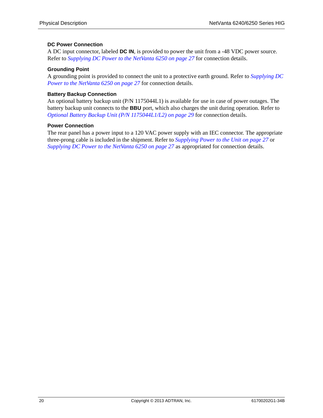#### **DC Power Connection**

A DC input connector, labeled **DC IN**, is provided to power the unit from a -48 VDC power source. Refer to *[Supplying DC Power to the NetVanta 6250 on page 27](#page-26-1)* for connection details.

#### **Grounding Point**

A grounding point is provided to connect the unit to a protective earth ground. Refer to *[Supplying DC](#page-26-1)  [Power to the NetVanta 6250 on page 27](#page-26-1)* for connection details.

#### **Battery Backup Connection**

An optional battery backup unit (P/N 1175044L1) is available for use in case of power outages. The battery backup unit connects to the **BBU** port, which also charges the unit during operation. Refer to *[Optional Battery Backup Unit \(P/N 1175044L1/L2\) on page 29](#page-28-0)* for connection details.

#### **Power Connection**

The rear panel has a power input to a 120 VAC power supply with an IEC connector. The appropriate three-prong cable is included in the shipment. Refer to *[Supplying Power to the Unit on page 27](#page-26-0)* or *[Supplying DC Power to the NetVanta 6250 on page 27](#page-26-1)* as appropriated for connection details.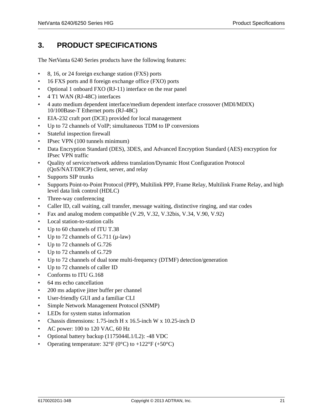## <span id="page-20-0"></span>**3. PRODUCT SPECIFICATIONS**

The NetVanta 6240 Series products have the following features:

- 8, 16, or 24 foreign exchange station (FXS) ports
- 16 FXS ports and 8 foreign exchange office (FXO) ports
- Optional 1 onboard FXO (RJ-11) interface on the rear panel
- 4 T1 WAN (RJ-48C) interfaces
- 4 auto medium dependent interface/medium dependent interface crossover (MDI/MDIX) 10/100Base-T Ethernet ports (RJ-48C)
- EIA-232 craft port (DCE) provided for local management
- Up to 72 channels of VoIP; simultaneous TDM to IP conversions
- Stateful inspection firewall
- IPsec VPN (100 tunnels minimum)
- Data Encryption Standard (DES), 3DES, and Advanced Encryption Standard (AES) encryption for IPsec VPN traffic
- Quality of service/network address translation/Dynamic Host Configuration Protocol (QoS/NAT/DHCP) client, server, and relay
- Supports SIP trunks
- Supports Point-to-Point Protocol (PPP), Multilink PPP, Frame Relay, Multilink Frame Relay, and high level data link control (HDLC)
- Three-way conferencing
- Caller ID, call waiting, call transfer, message waiting, distinctive ringing, and star codes
- Fax and analog modem compatible (V.29, V.32, V.32bis, V.34, V.90, V.92)
- Local station-to-station calls
- Up to 60 channels of ITU T.38
- Up to 72 channels of G.711  $(\mu$ -law)
- Up to 72 channels of G.726
- Up to 72 channels of G.729
- Up to 72 channels of dual tone multi-frequency (DTMF) detection/generation
- Up to 72 channels of caller ID
- Conforms to ITU G.168
- 64 ms echo cancellation
- 200 ms adaptive jitter buffer per channel
- User-friendly GUI and a familiar CLI
- Simple Network Management Protocol (SNMP)
- LEDs for system status information
- Chassis dimensions: 1.75-inch H x 16.5-inch W x 10.25-inch D
- AC power: 100 to 120 VAC, 60 Hz
- Optional battery backup (1175044L1/L2): -48 VDC
- Operating temperature:  $32^{\circ}F(0^{\circ}C)$  to  $+122^{\circ}F(+50^{\circ}C)$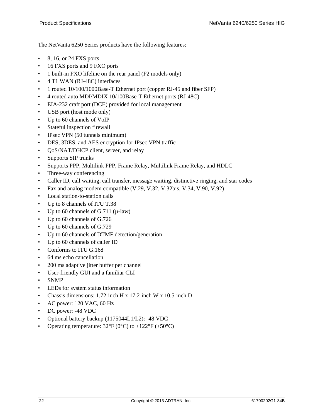The NetVanta 6250 Series products have the following features:

- 8, 16, or 24 FXS ports
- 16 FXS ports and 9 FXO ports
- 1 built-in FXO lifeline on the rear panel (F2 models only)
- 4 T1 WAN (RJ-48C) interfaces
- 1 routed 10/100/1000Base-T Ethernet port (copper RJ-45 and fiber SFP)
- 4 routed auto MDI/MDIX 10/100Base-T Ethernet ports (RJ-48C)
- EIA-232 craft port (DCE) provided for local management
- USB port (host mode only)
- Up to 60 channels of VoIP
- Stateful inspection firewall
- IPsec VPN (50 tunnels minimum)
- DES, 3DES, and AES encryption for IPsec VPN traffic
- QoS/NAT/DHCP client, server, and relay
- Supports SIP trunks
- Supports PPP, Multilink PPP, Frame Relay, Multilink Frame Relay, and HDLC
- Three-way conferencing
- Caller ID, call waiting, call transfer, message waiting, distinctive ringing, and star codes
- Fax and analog modem compatible (V.29, V.32, V.32bis, V.34, V.90, V.92)
- Local station-to-station calls
- Up to 8 channels of ITU T.38
- Up to 60 channels of G.711  $(\mu$ -law)
- Up to 60 channels of G.726
- Up to 60 channels of G.729
- Up to 60 channels of DTMF detection/generation
- Up to 60 channels of caller ID
- Conforms to ITU G.168
- 64 ms echo cancellation
- 200 ms adaptive jitter buffer per channel
- User-friendly GUI and a familiar CLI
- SNMP
- LEDs for system status information
- Chassis dimensions: 1.72-inch H x 17.2-inch W x 10.5-inch D
- AC power: 120 VAC, 60 Hz
- DC power: -48 VDC
- Optional battery backup (1175044L1/L2): -48 VDC
- Operating temperature:  $32^{\circ}F(0^{\circ}C)$  to  $+122^{\circ}F(+50^{\circ}C)$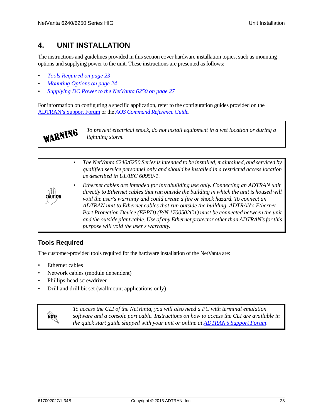## <span id="page-22-0"></span>**4. UNIT INSTALLATION**

The instructions and guidelines provided in this section cover hardware installation topics, such as mounting options and supplying power to the unit. These instructions are presented as follows:

- *[Tools Required on page 23](#page-22-1)*
- *[Mounting Options on page 24](#page-23-0)*
- *[Supplying DC Power to the NetVanta 6250 on page 27](#page-26-1)*

For information on configuring a specific application, refer to the configuration guides provided on the [ADTRAN's Support Forum](http://supportforums.adtran.com) or the *AOS Command Reference Guide*.

> *To prevent electrical shock, do not install equipment in a wet location or during a lightning storm.*



## <span id="page-22-1"></span>**Tools Required**

WARNING

The customer-provided tools required for the hardware installation of the NetVanta are:

- Ethernet cables
- Network cables (module dependent)
- Phillips-head screwdriver
- Drill and drill bit set (wallmount applications only)



*To access the CLI of the NetVanta, you will also need a PC with terminal emulation software and a console port cable. Instructions on how to access the CLI are available in the quick start guide shipped with your unit or online at [ADTRAN's Support Forum.](http://supportforums.adtran.com)*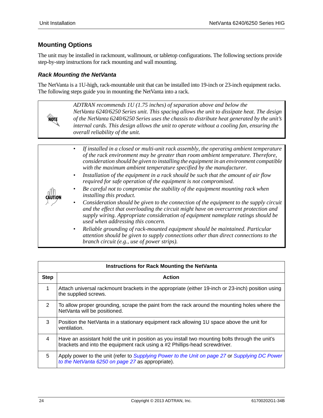**AQIE** 

## <span id="page-23-0"></span>**Mounting Options**

The unit may be installed in rackmount, wallmount, or tabletop configurations. The following sections provide step-by-step instructions for rack mounting and wall mounting.

#### *Rack Mounting the NetVanta*

The NetVanta is a 1U-high, rack-mountable unit that can be installed into 19-inch or 23-inch equipment racks. The following steps guide you in mounting the NetVanta into a rack.

> *ADTRAN recommends 1U (1.75 inches) of separation above and below the NetVanta 6240/6250 Series unit. This spacing allows the unit to dissipate heat. The design of the NetVanta 6240/6250 Series uses the chassis to distribute heat generated by the unit's internal cards. This design allows the unit to operate without a cooling fan, ensuring the overall reliability of the unit.*

|                | If installed in a closed or multi-unit rack assembly, the operating ambient temperature<br>$\bullet$<br>of the rack environment may be greater than room ambient temperature. Therefore,<br>consideration should be given to installing the equipment in an environment compatible<br>with the maximum ambient temperature specified by the manufacturer. |
|----------------|-----------------------------------------------------------------------------------------------------------------------------------------------------------------------------------------------------------------------------------------------------------------------------------------------------------------------------------------------------------|
|                | Installation of the equipment in a rack should be such that the amount of air flow<br>$\bullet$<br>required for safe operation of the equipment is not compromised.                                                                                                                                                                                       |
| <b>CAUTION</b> | Be careful not to compromise the stability of the equipment mounting rack when<br>$\bullet$<br>installing this product.                                                                                                                                                                                                                                   |
|                | Consideration should be given to the connection of the equipment to the supply circuit<br>$\bullet$<br>and the effect that overloading the circuit might have on overcurrent protection and<br>supply wiring. Appropriate consideration of equipment nameplate ratings should be<br>used when addressing this concern.                                    |
|                | Reliable grounding of rack-mounted equipment should be maintained. Particular<br>$\bullet$<br>attention should be given to supply connections other than direct connections to the<br>branch circuit (e.g., use of power strips).                                                                                                                         |

|             | <b>Instructions for Rack Mounting the NetVanta</b>                                                                                                                             |
|-------------|--------------------------------------------------------------------------------------------------------------------------------------------------------------------------------|
| <b>Step</b> | <b>Action</b>                                                                                                                                                                  |
| 1           | Attach universal rackmount brackets in the appropriate (either 19-inch or 23-inch) position using<br>the supplied screws.                                                      |
| 2           | To allow proper grounding, scrape the paint from the rack around the mounting holes where the<br>NetVanta will be positioned.                                                  |
| 3           | Position the NetVanta in a stationary equipment rack allowing 1U space above the unit for<br>ventilation.                                                                      |
| 4           | Have an assistant hold the unit in position as you install two mounting bolts through the unit's<br>brackets and into the equipment rack using a #2 Phillips-head screwdriver. |
| 5           | Apply power to the unit (refer to Supplying Power to the Unit on page 27 or Supplying DC Power<br>to the NetVanta 6250 on page 27 as appropriate).                             |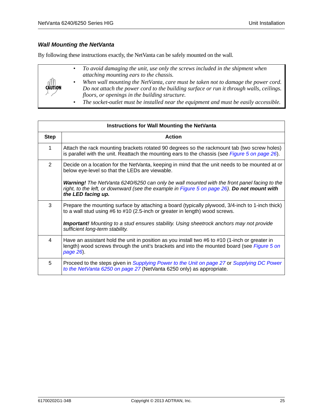#### *Wall Mounting the NetVanta*

By following these instructions exactly, the NetVanta can be safely mounted on the wall.

*• To avoid damaging the unit, use only the screws included in the shipment when attaching mounting ears to the chassis. • When wall mounting the NetVanta, care must be taken not to damage the power cord.*  CAUTION *Do not attach the power cord to the building surface or run it through walls, ceilings. floors, or openings in the building structure.*

*• The socket-outlet must be installed near the equipment and must be easily accessible.*

|             | <b>Instructions for Wall Mounting the NetVanta</b>                                                                                                                                                                      |
|-------------|-------------------------------------------------------------------------------------------------------------------------------------------------------------------------------------------------------------------------|
| <b>Step</b> | <b>Action</b>                                                                                                                                                                                                           |
| 1           | Attach the rack mounting brackets rotated 90 degrees so the rackmount tab (two screw holes)<br>is parallel with the unit. Reattach the mounting ears to the chassis (see Figure 5 on page 26).                          |
| 2           | Decide on a location for the NetVanta, keeping in mind that the unit needs to be mounted at or<br>below eye-level so that the LEDs are viewable.                                                                        |
|             | <b>Warning!</b> The NetVanta 6240/6250 can only be wall mounted with the front panel facing to the<br>right, to the left, or downward (see the example in Figure 5 on page 26). Do not mount with<br>the LED facing up. |
| 3           | Prepare the mounting surface by attaching a board (typically plywood, 3/4-inch to 1-inch thick)<br>to a wall stud using #6 to #10 (2.5-inch or greater in length) wood screws.                                          |
|             | <b>Important!</b> Mounting to a stud ensures stability. Using sheetrock anchors may not provide<br>sufficient long-term stability.                                                                                      |
| 4           | Have an assistant hold the unit in position as you install two #6 to #10 (1-inch or greater in<br>length) wood screws through the unit's brackets and into the mounted board (see Figure 5 on<br>page 26).              |
| 5           | Proceed to the steps given in Supplying Power to the Unit on page 27 or Supplying DC Power<br>to the NetVanta 6250 on page 27 (NetVanta 6250 only) as appropriate.                                                      |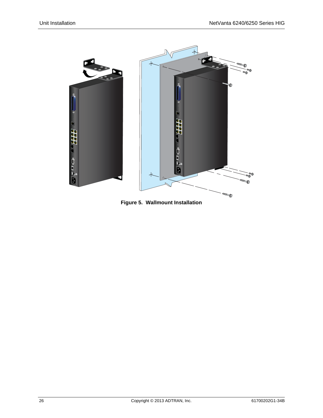<span id="page-25-0"></span>

**Figure 5. Wallmount Installation**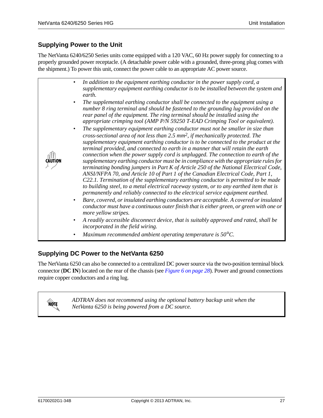## <span id="page-26-0"></span>**Supplying Power to the Unit**

The NetVanta 6240/6250 Series units come equipped with a 120 VAC, 60 Hz power supply for connecting to a properly grounded power receptacle. (A detachable power cable with a grounded, three-prong plug comes with the shipment.) To power this unit, connect the power cable to an appropriate AC power source.

| In addition to the equipment earthing conductor in the power supply cord, a<br>$\bullet$<br>supplementary equipment earthing conductor is to be installed between the system and<br>earth.                                                                                                                                                                                                                                                                                                                                                                                                                                                                                                                                                                                                                                                                                                                                                                                                                                                                                                                                                                                                                                                                                                                                                                                                                                              |
|-----------------------------------------------------------------------------------------------------------------------------------------------------------------------------------------------------------------------------------------------------------------------------------------------------------------------------------------------------------------------------------------------------------------------------------------------------------------------------------------------------------------------------------------------------------------------------------------------------------------------------------------------------------------------------------------------------------------------------------------------------------------------------------------------------------------------------------------------------------------------------------------------------------------------------------------------------------------------------------------------------------------------------------------------------------------------------------------------------------------------------------------------------------------------------------------------------------------------------------------------------------------------------------------------------------------------------------------------------------------------------------------------------------------------------------------|
| The supplemental earthing conductor shall be connected to the equipment using a<br>٠<br>number 8 ring terminal and should be fastened to the grounding lug provided on the<br>rear panel of the equipment. The ring terminal should be installed using the<br>appropriate crimping tool (AMP P/N 59250 T-EAD Crimping Tool or equivalent).                                                                                                                                                                                                                                                                                                                                                                                                                                                                                                                                                                                                                                                                                                                                                                                                                                                                                                                                                                                                                                                                                              |
| The supplementary equipment earthing conductor must not be smaller in size than<br>٠<br>cross-sectional area of not less than 2.5 mm <sup>2</sup> , if mechanically protected. The<br>supplementary equipment earthing conductor is to be connected to the product at the<br>terminal provided, and connected to earth in a manner that will retain the earth<br>connection when the power supply cord is unplugged. The connection to earth of the<br>supplementary earthing conductor must be in compliance with the appropriate rules for<br>terminating bonding jumpers in Part K of Article 250 of the National Electrical Code,<br>ANSI/NFPA 70, and Article 10 of Part 1 of the Canadian Electrical Code, Part 1,<br>C22.1. Termination of the supplementary earthing conductor is permitted to be made<br>to building steel, to a metal electrical raceway system, or to any earthed item that is<br>permanently and reliably connected to the electrical service equipment earthed.<br>Bare, covered, or insulated earthing conductors are acceptable. A covered or insulated<br>٠<br>conductor must have a continuous outer finish that is either green, or green with one or<br>more yellow stripes.<br>A readily accessible disconnect device, that is suitably approved and rated, shall be<br>$\bullet$<br>incorporated in the field wiring.<br>Maximum recommended ambient operating temperature is $50^{\circ}$ C.<br>٠ |
|                                                                                                                                                                                                                                                                                                                                                                                                                                                                                                                                                                                                                                                                                                                                                                                                                                                                                                                                                                                                                                                                                                                                                                                                                                                                                                                                                                                                                                         |

## <span id="page-26-1"></span>**Supplying DC Power to the NetVanta 6250**

The NetVanta 6250 can also be connected to a centralized DC power source via the two-position terminal block connector (**DC IN**) located on the rear of the chassis (see *[Figure 6 on page 28](#page-27-0)*). Power and ground connections require copper conductors and a ring lug.

*ADTRAN does not recommend using the optional battery backup unit when the NetVanta 6250 is being powered from a DC source.*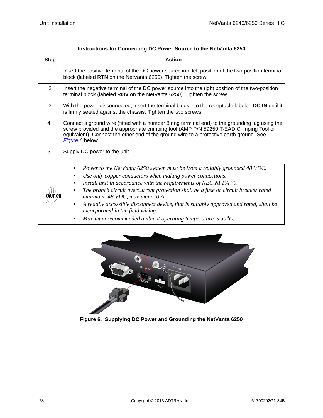| Instructions for Connecting DC Power Source to the NetVanta 6250 |                                                                                                                                                                                                                                                                                                         |  |
|------------------------------------------------------------------|---------------------------------------------------------------------------------------------------------------------------------------------------------------------------------------------------------------------------------------------------------------------------------------------------------|--|
| <b>Step</b>                                                      | <b>Action</b>                                                                                                                                                                                                                                                                                           |  |
|                                                                  | Insert the positive terminal of the DC power source into left position of the two-position terminal<br>block (labeled RTN on the NetVanta 6250). Tighten the screw.                                                                                                                                     |  |
| $\mathcal{P}$                                                    | Insert the negative terminal of the DC power source into the right position of the two-position<br>terminal block (labeled -48V on the NetVanta 6250). Tighten the screw.                                                                                                                               |  |
| 3                                                                | With the power disconnected, insert the terminal block into the receptacle labeled DC IN until it<br>is firmly seated against the chassis. Tighten the two screws.                                                                                                                                      |  |
| 4                                                                | Connect a ground wire (fitted with a number 8 ring terminal end) to the grounding lug using the<br>screw provided and the appropriate crimping tool (AMP P/N 59250 T-EAD Crimping Tool or<br>equivalent). Connect the other end of the ground wire to a protective earth ground. See<br>Figure 6 below. |  |
| 5                                                                | Supply DC power to the unit.                                                                                                                                                                                                                                                                            |  |
|                                                                  |                                                                                                                                                                                                                                                                                                         |  |

| <b>CAUTION</b> | Power to the NetVanta 6250 system must be from a reliably grounded 48 VDC.<br>$\bullet$                                      |
|----------------|------------------------------------------------------------------------------------------------------------------------------|
|                | Use only copper conductors when making power connections.<br>$\bullet$                                                       |
|                | Install unit in accordance with the requirements of NEC NFPA 70.<br>$\bullet$                                                |
|                | The branch circuit overcurrent protection shall be a fuse or circuit breaker rated<br>٠<br>minimum -48 VDC, maximum 10 A.    |
|                | • A readily accessible disconnect device, that is suitably approved and rated, shall be<br>incorporated in the field wiring. |
|                | Maximum recommended ambient operating temperature is $50^{\circ}$ C.<br>٠                                                    |

<span id="page-27-0"></span>

**Figure 6. Supplying DC Power and Grounding the NetVanta 6250**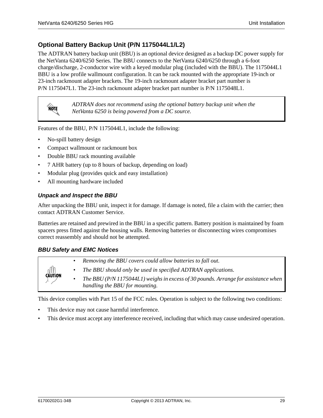## <span id="page-28-0"></span>**Optional Battery Backup Unit (P/N 1175044L1/L2)**

The ADTRAN battery backup unit (BBU) is an optional device designed as a backup DC power supply for the NetVanta 6240/6250 Series. The BBU connects to the NetVanta 6240/6250 through a 6-foot charge/discharge, 2-conductor wire with a keyed modular plug (included with the BBU). The 1175044L1 BBU is a low profile wallmount configuration. It can be rack mounted with the appropriate 19-inch or 23-inch rackmount adapter brackets. The 19-inch rackmount adapter bracket part number is P/N 1175047L1. The 23-inch rackmount adapter bracket part number is P/N 1175048L1.

**AQIE** 

*ADTRAN does not recommend using the optional battery backup unit when the NetVanta 6250 is being powered from a DC source.*

Features of the BBU, P/N 1175044L1, include the following:

- No-spill battery design
- Compact wallmount or rackmount box
- Double BBU rack mounting available
- 7 AHR battery (up to 8 hours of backup, depending on load)
- Modular plug (provides quick and easy installation)
- All mounting hardware included

#### *Unpack and Inspect the BBU*

After unpacking the BBU unit, inspect it for damage. If damage is noted, file a claim with the carrier; then contact ADTRAN Customer Service.

Batteries are retained and prewired in the BBU in a specific pattern. Battery position is maintained by foam spacers press fitted against the housing walls. Removing batteries or disconnecting wires compromises correct reassembly and should not be attempted.

#### *BBU Safety and EMC Notices*

| $\frac{1}{2}$ | Removing the BBU covers could allow batteries to fall out.                         |
|---------------|------------------------------------------------------------------------------------|
|               | The BBU should only be used in specified ADTRAN applications.                      |
|               | The BBU (P/N 1175044L1) weighs in excess of 30 pounds. Arrange for assistance when |
|               | handling the BBU for mounting.                                                     |

This device complies with Part 15 of the FCC rules. Operation is subject to the following two conditions:

- This device may not cause harmful interference.
- This device must accept any interference received, including that which may cause undesired operation.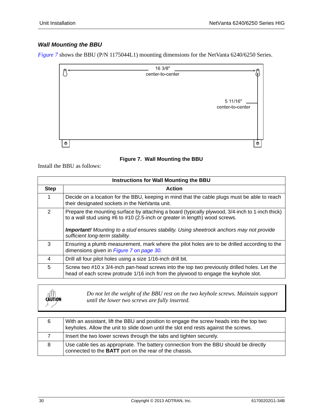## *Wall Mounting the BBU*

*[Figure 7](#page-29-0)* shows the BBU (P/N 1175044L1) mounting dimensions for the NetVanta 6240/6250 Series.



#### **Figure 7. Wall Mounting the BBU**

<span id="page-29-0"></span>Install the BBU as follows:

| <b>Instructions for Wall Mounting the BBU</b> |                                                                                                                                                                                                                                                                                                                          |  |
|-----------------------------------------------|--------------------------------------------------------------------------------------------------------------------------------------------------------------------------------------------------------------------------------------------------------------------------------------------------------------------------|--|
| <b>Step</b>                                   | Action                                                                                                                                                                                                                                                                                                                   |  |
| 1                                             | Decide on a location for the BBU, keeping in mind that the cable plugs must be able to reach<br>their designated sockets in the NetVanta unit.                                                                                                                                                                           |  |
| $\mathcal{P}$                                 | Prepare the mounting surface by attaching a board (typically plywood, 3/4-inch to 1-inch thick)<br>to a wall stud using $#6$ to $#10$ (2.5-inch or greater in length) wood screws.<br><b>Important!</b> Mounting to a stud ensures stability. Using sheetrock anchors may not provide<br>sufficient long-term stability. |  |
| 3                                             | Ensuring a plumb measurement, mark where the pilot holes are to be drilled according to the<br>dimensions given in Figure 7 on page 30.                                                                                                                                                                                  |  |
| 4                                             | Drill all four pilot holes using a size 1/16-inch drill bit.                                                                                                                                                                                                                                                             |  |
| 5                                             | Screw two #10 x 3/4-inch pan-head screws into the top two previously drilled holes. Let the<br>head of each screw protrude 1/16 inch from the plywood to engage the keyhole slot.                                                                                                                                        |  |

| $\frac{1}{2}$ | Do not let the weight of the BBU rest on the two keyhole screws. Maintain support<br>until the lower two screws are fully inserted. |
|---------------|-------------------------------------------------------------------------------------------------------------------------------------|
|---------------|-------------------------------------------------------------------------------------------------------------------------------------|

| 6 | With an assistant, lift the BBU and position to engage the screw heads into the top two<br>keyholes. Allow the unit to slide down until the slot end rests against the screws. |
|---|--------------------------------------------------------------------------------------------------------------------------------------------------------------------------------|
|   | Insert the two lower screws through the tabs and tighten securely.                                                                                                             |
| 8 | Use cable ties as appropriate. The battery connection from the BBU should be directly<br>connected to the BATT port on the rear of the chassis.                                |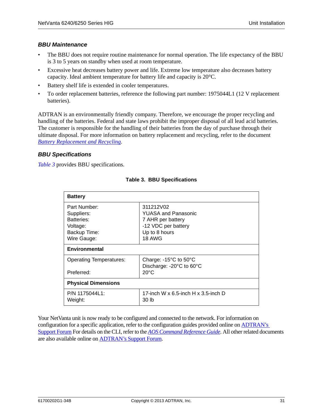#### *BBU Maintenance*

- The BBU does not require routine maintenance for normal operation. The life expectancy of the BBU is 3 to 5 years on standby when used at room temperature.
- Excessive heat decreases battery power and life. Extreme low temperature also decreases battery capacity. Ideal ambient temperature for battery life and capacity is 20°C.
- Battery shelf life is extended in cooler temperatures.
- To order replacement batteries, reference the following part number: 1975044L1 (12 V replacement batteries).

ADTRAN is an environmentally friendly company. Therefore, we encourage the proper recycling and [handling of the batteries. Federal and state laws prohibit the improper disposal of all lead acid batteries.](https://www.adtran.com/pub/Library/Reference_Guides/Battery_Replacement__Recycling_Document__Rev_A_.pdf)  The customer is responsible for the handling of their batteries from the day of purchase through their ultimate disposal. For more information on battery replacement and recycling, refer to the document *Battery Replacement and Recycling*.

#### *BBU Specifications*

<span id="page-30-0"></span>*[Table 3](#page-30-0)* provides BBU specifications.

| <b>Battery</b>                 |                                           |  |
|--------------------------------|-------------------------------------------|--|
| Part Number:                   | 311212V02                                 |  |
| Suppliers:                     | <b>YUASA and Panasonic</b>                |  |
| Batteries:                     | 7 AHR per battery                         |  |
| Voltage:                       | -12 VDC per battery                       |  |
| Backup Time:                   | Up to 8 hours                             |  |
| Wire Gauge:                    | 18 AWG                                    |  |
| <b>Environmental</b>           |                                           |  |
| <b>Operating Temperatures:</b> | Charge: $-15^{\circ}$ C to $50^{\circ}$ C |  |
|                                | Discharge: -20°C to 60°C                  |  |
| Preferred:                     | $20^{\circ}$ C                            |  |
| <b>Physical Dimensions</b>     |                                           |  |
| P/N 1175044L1:                 | 17-inch W x 6.5-inch H x 3.5-inch D       |  |
| Weight:                        | 30 lb                                     |  |
|                                |                                           |  |

#### **Table 3. BBU Specifications**

Your NetVanta unit is now ready to be configured and connected to the network. For information on configuration for a specific application, refer to the configuration guides provided online on **ADTRAN's** [Support Forum](http://supportforums.adtran.com) [For details on the CLI, refer to the](http://kb.adtran.com/display/2/kb/emailArticle.aspx?aid=2219) *AOS Command Reference Guide*. All other related documents are also available online on [ADTRAN's Support Forum](http://supportforums.adtran.com).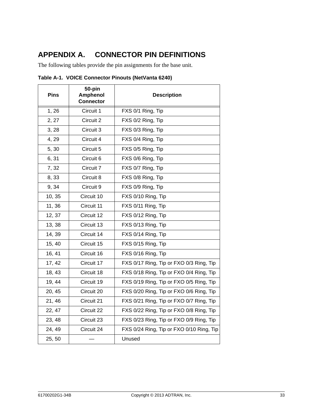## <span id="page-32-0"></span>**APPENDIX A. CONNECTOR PIN DEFINITIONS**

The following tables provide the pin assignments for the base unit.

| <b>Pins</b> | 50-pin<br><b>Amphenol</b><br><b>Connector</b> | <b>Description</b>                       |
|-------------|-----------------------------------------------|------------------------------------------|
| 1, 26       | Circuit 1                                     | FXS 0/1 Ring, Tip                        |
| 2, 27       | Circuit 2                                     | FXS 0/2 Ring, Tip                        |
| 3, 28       | Circuit 3                                     | FXS 0/3 Ring, Tip                        |
| 4, 29       | Circuit 4                                     | FXS 0/4 Ring, Tip                        |
| 5,30        | Circuit 5                                     | FXS 0/5 Ring, Tip                        |
| 6,31        | Circuit 6                                     | FXS 0/6 Ring, Tip                        |
| 7,32        | Circuit 7                                     | FXS 0/7 Ring, Tip                        |
| 8,33        | Circuit 8                                     | FXS 0/8 Ring, Tip                        |
| 9, 34       | Circuit 9                                     | FXS 0/9 Ring, Tip                        |
| 10, 35      | Circuit 10                                    | FXS 0/10 Ring, Tip                       |
| 11, 36      | Circuit 11                                    | FXS 0/11 Ring, Tip                       |
| 12, 37      | Circuit 12                                    | FXS 0/12 Ring, Tip                       |
| 13, 38      | Circuit 13                                    | FXS 0/13 Ring, Tip                       |
| 14, 39      | Circuit 14                                    | FXS 0/14 Ring, Tip                       |
| 15, 40      | Circuit 15                                    | FXS 0/15 Ring, Tip                       |
| 16, 41      | Circuit 16                                    | FXS 0/16 Ring, Tip                       |
| 17, 42      | Circuit 17                                    | FXS 0/17 Ring, Tip or FXO 0/3 Ring, Tip  |
| 18, 43      | Circuit 18                                    | FXS 0/18 Ring, Tip or FXO 0/4 Ring, Tip  |
| 19, 44      | Circuit 19                                    | FXS 0/19 Ring, Tip or FXO 0/5 Ring, Tip  |
| 20, 45      | Circuit 20                                    | FXS 0/20 Ring, Tip or FXO 0/6 Ring, Tip  |
| 21, 46      | Circuit 21                                    | FXS 0/21 Ring, Tip or FXO 0/7 Ring, Tip  |
| 22, 47      | Circuit 22                                    | FXS 0/22 Ring, Tip or FXO 0/8 Ring, Tip  |
| 23, 48      | Circuit 23                                    | FXS 0/23 Ring, Tip or FXO 0/9 Ring, Tip  |
| 24, 49      | Circuit 24                                    | FXS 0/24 Ring, Tip or FXO 0/10 Ring, Tip |
| 25, 50      |                                               | Unused                                   |

<span id="page-32-2"></span><span id="page-32-1"></span>**Table A-1. VOICE Connector Pinouts (NetVanta 6240)**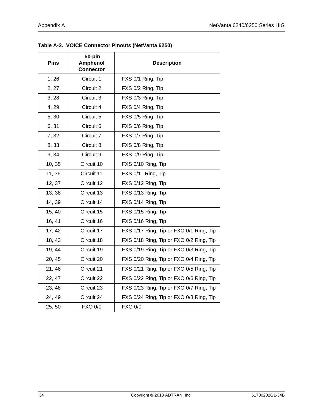| <b>Pins</b> | 50-pin<br>Amphenol<br><b>Connector</b> | <b>Description</b>                      |
|-------------|----------------------------------------|-----------------------------------------|
| 1,26        | Circuit 1                              | FXS 0/1 Ring, Tip                       |
| 2, 27       | Circuit 2                              | FXS 0/2 Ring, Tip                       |
| 3, 28       | Circuit 3                              | FXS 0/3 Ring, Tip                       |
| 4, 29       | Circuit 4                              | FXS 0/4 Ring, Tip                       |
| 5,30        | Circuit 5                              | FXS 0/5 Ring, Tip                       |
| 6,31        | Circuit 6                              | FXS 0/6 Ring, Tip                       |
| 7,32        | Circuit 7                              | FXS 0/7 Ring, Tip                       |
| 8,33        | Circuit 8                              | FXS 0/8 Ring, Tip                       |
| 9, 34       | Circuit 9                              | FXS 0/9 Ring, Tip                       |
| 10, 35      | Circuit 10                             | FXS 0/10 Ring, Tip                      |
| 11, 36      | Circuit 11                             | FXS 0/11 Ring, Tip                      |
| 12, 37      | Circuit 12                             | FXS 0/12 Ring, Tip                      |
| 13, 38      | Circuit 13                             | FXS 0/13 Ring, Tip                      |
| 14, 39      | Circuit 14                             | FXS 0/14 Ring, Tip                      |
| 15, 40      | Circuit 15                             | FXS 0/15 Ring, Tip                      |
| 16, 41      | Circuit 16                             | FXS 0/16 Ring, Tip                      |
| 17, 42      | Circuit 17                             | FXS 0/17 Ring, Tip or FXO 0/1 Ring, Tip |
| 18, 43      | Circuit 18                             | FXS 0/18 Ring, Tip or FXO 0/2 Ring, Tip |
| 19, 44      | Circuit 19                             | FXS 0/19 Ring, Tip or FXO 0/3 Ring, Tip |
| 20, 45      | Circuit 20                             | FXS 0/20 Ring, Tip or FXO 0/4 Ring, Tip |
| 21, 46      | Circuit 21                             | FXS 0/21 Ring, Tip or FXO 0/5 Ring, Tip |
| 22, 47      | Circuit 22                             | FXS 0/22 Ring, Tip or FXO 0/6 Ring, Tip |
| 23, 48      | Circuit 23                             | FXS 0/23 Ring, Tip or FXO 0/7 Ring, Tip |
| 24, 49      | Circuit 24                             | FXS 0/24 Ring, Tip or FXO 0/8 Ring, Tip |
| 25, 50      | <b>FXO 0/0</b>                         | <b>FXO 0/0</b>                          |

<span id="page-33-1"></span><span id="page-33-0"></span>**Table A-2. VOICE Connector Pinouts (NetVanta 6250)**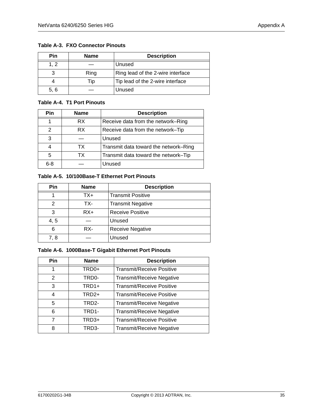<span id="page-34-4"></span><span id="page-34-0"></span>**Table A-3. FXO Connector Pinouts**

| Pin  | <b>Name</b> | <b>Description</b>                |
|------|-------------|-----------------------------------|
| 1, 2 |             | Unused                            |
|      | Ring        | Ring lead of the 2-wire interface |
|      | Tip         | Tip lead of the 2-wire interface  |
| 5, 6 |             | Unused                            |

#### <span id="page-34-5"></span><span id="page-34-1"></span>**Table A-4. T1 Port Pinouts**

| Pin           | <b>Name</b> | <b>Description</b>                    |
|---------------|-------------|---------------------------------------|
|               | RX.         | Receive data from the network–Ring    |
| $\mathcal{P}$ | RX.         | Receive data from the network-Tip     |
| 3             |             | Unused                                |
|               | TX          | Transmit data toward the network–Ring |
| 5             | ТX          | Transmit data toward the network-Tip  |
| $6 - 8$       |             | Unused                                |

#### <span id="page-34-6"></span><span id="page-34-2"></span>**Table A-5. 10/100Base-T Ethernet Port Pinouts**

| Pin  | <b>Name</b> | <b>Description</b>       |
|------|-------------|--------------------------|
|      | TX+         | <b>Transmit Positive</b> |
| 2    | TX-         | <b>Transmit Negative</b> |
| 3    | $RX+$       | <b>Receive Positive</b>  |
| 4, 5 |             | Unused                   |
| 6    | RX-         | <b>Receive Negative</b>  |
| 7. 8 |             | Unused                   |

### <span id="page-34-7"></span><span id="page-34-3"></span>**Table A-6. 1000Base-T Gigabit Ethernet Port Pinouts**

| <b>Pin</b>    | <b>Name</b>       | <b>Description</b>               |
|---------------|-------------------|----------------------------------|
| 1             | TRD0+             | <b>Transmit/Receive Positive</b> |
| $\mathcal{P}$ | TRD0-             | <b>Transmit/Receive Negative</b> |
| 3             | TRD1+             | <b>Transmit/Receive Positive</b> |
| 4             | TRD <sub>2+</sub> | <b>Transmit/Receive Positive</b> |
| 5             | TRD2-             | Transmit/Receive Negative        |
| 6             | TRD1-             | <b>Transmit/Receive Negative</b> |
| 7             | TRD3+             | <b>Transmit/Receive Positive</b> |
| 8             | TRD3-             | <b>Transmit/Receive Negative</b> |